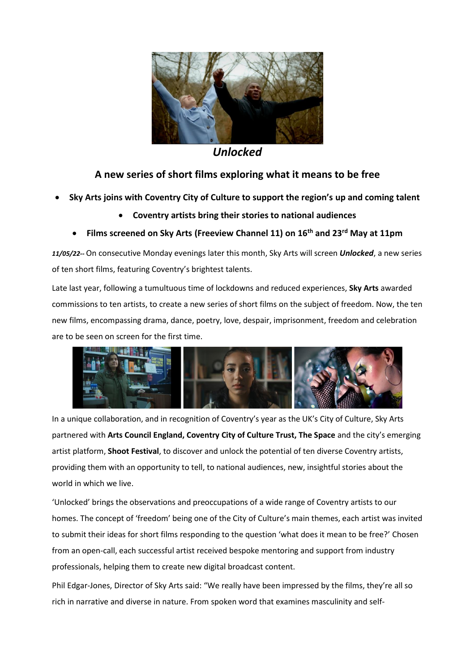

*Unlocked*

# **A new series of short films exploring what it means to be free**

- **Sky Arts joins with Coventry City of Culture to support the region's up and coming talent**
	- **Coventry artists bring their stories to national audiences**
	- **Films screened on Sky Arts (Freeview Channel 11) on 16th and 23rd May at 11pm**

*11/05/22--* On consecutive Monday evenings later this month, Sky Arts will screen *Unlocked*, a new series of ten short films, featuring Coventry's brightest talents.

Late last year, following a tumultuous time of lockdowns and reduced experiences, **Sky Arts** awarded commissions to ten artists, to create a new series of short films on the subject of freedom. Now, the ten new films, encompassing drama, dance, poetry, love, despair, imprisonment, freedom and celebration are to be seen on screen for the first time.



In a unique collaboration, and in recognition of Coventry's year as the UK's City of Culture, Sky Arts partnered with **Arts Council England, Coventry City of Culture Trust, The Space** and the city's emerging artist platform, **Shoot Festival**, to discover and unlock the potential of ten diverse Coventry artists, providing them with an opportunity to tell, to national audiences, new, insightful stories about the world in which we live.

'Unlocked' brings the observations and preoccupations of a wide range of Coventry artists to our homes. The concept of 'freedom' being one of the City of Culture's main themes, each artist was invited to submit their ideas for short films responding to the question 'what does it mean to be free?' Chosen from an open-call, each successful artist received bespoke mentoring and support from industry professionals, helping them to create new digital broadcast content.

Phil Edgar-Jones, Director of Sky Arts said: "We really have been impressed by the films, they're all so rich in narrative and diverse in nature. From spoken word that examines masculinity and self-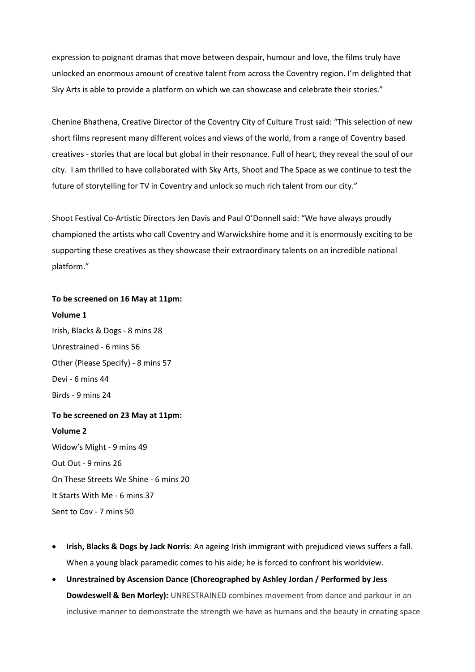expression to poignant dramas that move between despair, humour and love, the films truly have unlocked an enormous amount of creative talent from across the Coventry region. I'm delighted that Sky Arts is able to provide a platform on which we can showcase and celebrate their stories."

Chenine Bhathena, Creative Director of the Coventry City of Culture Trust said: "This selection of new short films represent many different voices and views of the world, from a range of Coventry based creatives - stories that are local but global in their resonance. Full of heart, they reveal the soul of our city. I am thrilled to have collaborated with Sky Arts, Shoot and The Space as we continue to test the future of storytelling for TV in Coventry and unlock so much rich talent from our city."

Shoot Festival Co-Artistic Directors Jen Davis and Paul O'Donnell said: "We have always proudly championed the artists who call Coventry and Warwickshire home and it is enormously exciting to be supporting these creatives as they showcase their extraordinary talents on an incredible national platform."

### **To be screened on 16 May at 11pm:**

### **Volume 1**

Irish, Blacks & Dogs - 8 mins 28 Unrestrained - 6 mins 56 Other (Please Specify) - 8 mins 57 Devi - 6 mins 44 Birds - 9 mins 24

# **To be screened on 23 May at 11pm:**

#### **Volume 2**

Widow's Might - 9 mins 49 Out Out - 9 mins 26 On These Streets We Shine - 6 mins 20 It Starts With Me - 6 mins 37 Sent to Cov - 7 mins 50

- **Irish, Blacks & Dogs by Jack Norris**: An ageing Irish immigrant with prejudiced views suffers a fall. When a young black paramedic comes to his aide; he is forced to confront his worldview.
- **Unrestrained by Ascension Dance (Choreographed by Ashley Jordan / Performed by Jess Dowdeswell & Ben Morley):** UNRESTRAINED combines movement from dance and parkour in an inclusive manner to demonstrate the strength we have as humans and the beauty in creating space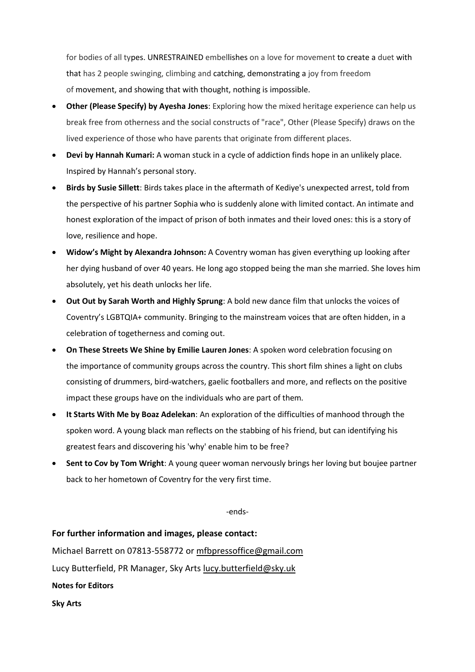for bodies of all types. UNRESTRAINED embellishes on a love for movement to create a duet with that has 2 people swinging, climbing and catching, demonstrating a joy from freedom of movement, and showing that with thought, nothing is impossible.

- **Other (Please Specify) by Ayesha Jones**: Exploring how the mixed heritage experience can help us break free from otherness and the social constructs of "race", Other (Please Specify) draws on the lived experience of those who have parents that originate from different places.
- **Devi by Hannah Kumari:** A woman stuck in a cycle of addiction finds hope in an unlikely place. Inspired by Hannah's personal story.
- **Birds by Susie Sillett**: Birds takes place in the aftermath of Kediye's unexpected arrest, told from the perspective of his partner Sophia who is suddenly alone with limited contact. An intimate and honest exploration of the impact of prison of both inmates and their loved ones: this is a story of love, resilience and hope.
- **Widow's Might by Alexandra Johnson:** A Coventry woman has given everything up looking after her dying husband of over 40 years. He long ago stopped being the man she married. She loves him absolutely, yet his death unlocks her life.
- **Out Out by Sarah Worth and Highly Sprung**: A bold new dance film that unlocks the voices of Coventry's LGBTQIA+ community. Bringing to the mainstream voices that are often hidden, in a celebration of togetherness and coming out.
- **On These Streets We Shine by Emilie Lauren Jones**: A spoken word celebration focusing on the importance of community groups across the country. This short film shines a light on clubs consisting of drummers, bird-watchers, gaelic footballers and more, and reflects on the positive impact these groups have on the individuals who are part of them*.*
- **It Starts With Me by Boaz Adelekan**: An exploration of the difficulties of manhood through the spoken word. A young black man reflects on the stabbing of his friend, but can identifying his greatest fears and discovering his 'why' enable him to be free?
- **Sent to Cov by Tom Wright**: A young queer woman nervously brings her loving but boujee partner back to her hometown of Coventry for the very first time.

-ends-

**For further information and images, please contact:**

Michael Barrett on 07813-558772 or [mfbpressoffice@gmail.com](mailto:mfbpressoffice@gmail.com)

Lucy Butterfield, PR Manager, Sky Arts [lucy.butterfield@sky.uk](mailto:lucy.butterfield@sky.uk)

**Notes for Editors**

**Sky Arts**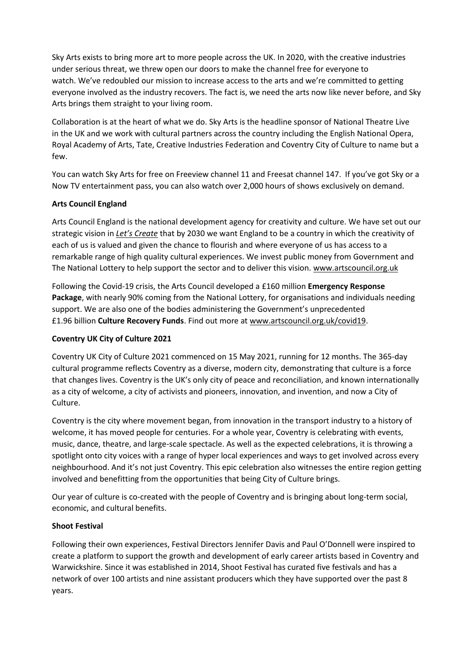Sky Arts exists to bring more art to more people across the UK. In 2020, with the creative industries under serious threat, we threw open our doors to make the channel free for everyone to watch. We've redoubled our mission to increase access to the arts and we're committed to getting everyone involved as the industry recovers. The fact is, we need the arts now like never before, and Sky Arts brings them straight to your living room.

Collaboration is at the heart of what we do. Sky Arts is the headline sponsor of National Theatre Live in the UK and we work with cultural partners across the country including the English National Opera, Royal Academy of Arts, Tate, Creative Industries Federation and Coventry City of Culture to name but a few.

You can watch Sky Arts for free on Freeview channel 11 and Freesat channel 147.  If you've got Sky or a Now TV entertainment pass, you can also watch over 2,000 hours of shows exclusively on demand.

## **Arts Council England**

Arts Council England is the national development agency for creativity and culture. We have set out our strategic vision in *[Let's Create](https://www.artscouncil.org.uk/letscreate)* that by 2030 we want England to be a country in which the creativity of each of us is valued and given the chance to flourish and where everyone of us has access to a remarkable range of high quality cultural experiences. We invest public money from Government and The National Lottery to help support the sector and to deliver this vision. [www.artscouncil.org.uk](http://www.artscouncil.org.uk/)

Following the Covid-19 crisis, the Arts Council developed a £160 million **Emergency Response Package**, with nearly 90% coming from the National Lottery, for organisations and individuals needing support. We are also one of the bodies administering the Government's unprecedented £1.96 billion **Culture Recovery Funds**. Find out more at [www.artscouncil.org.uk/covid19.](https://protect-eu.mimecast.com/s/BSZ4Cr8O0hqnMXUGP2-l?domain=artscouncil.org.uk)

## **Coventry UK City of Culture 2021**

Coventry UK City of Culture 2021 commenced on 15 May 2021, running for 12 months. The 365-day cultural programme reflects Coventry as a diverse, modern city, demonstrating that culture is a force that changes lives. Coventry is the UK's only city of peace and reconciliation, and known internationally as a city of welcome, a city of activists and pioneers, innovation, and invention, and now a City of Culture.

Coventry is the city where movement began, from innovation in the transport industry to a history of welcome, it has moved people for centuries. For a whole year, Coventry is celebrating with events, music, dance, theatre, and large-scale spectacle. As well as the expected celebrations, it is throwing a spotlight onto city voices with a range of hyper local experiences and ways to get involved across every neighbourhood. And it's not just Coventry. This epic celebration also witnesses the entire region getting involved and benefitting from the opportunities that being City of Culture brings.

Our year of culture is co-created with the people of Coventry and is bringing about long-term social, economic, and cultural benefits.

### **Shoot Festival**

Following their own experiences, Festival Directors Jennifer Davis and Paul O'Donnell were inspired to create a platform to support the growth and development of early career artists based in Coventry and Warwickshire. Since it was established in 2014, Shoot Festival has curated five festivals and has a network of over 100 artists and nine assistant producers which they have supported over the past 8 years.